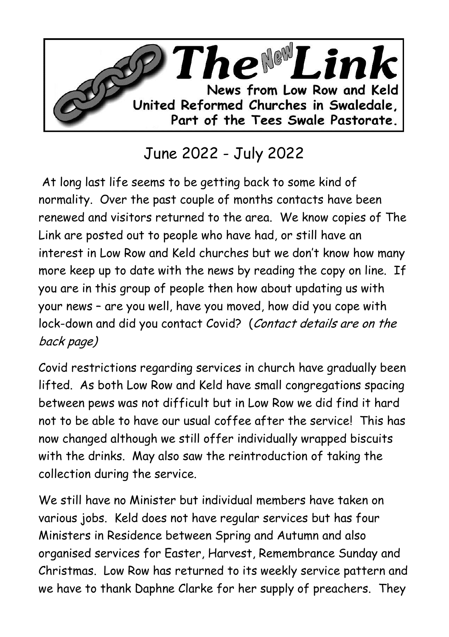

## June 2022 - July 2022

At long last life seems to be getting back to some kind of normality. Over the past couple of months contacts have been renewed and visitors returned to the area. We know copies of The Link are posted out to people who have had, or still have an interest in Low Row and Keld churches but we don't know how many more keep up to date with the news by reading the copy on line. If you are in this group of people then how about updating us with your news – are you well, have you moved, how did you cope with lock-down and did you contact Covid? (Contact details are on the back page)

Covid restrictions regarding services in church have gradually been lifted. As both Low Row and Keld have small congregations spacing between pews was not difficult but in Low Row we did find it hard not to be able to have our usual coffee after the service! This has now changed although we still offer individually wrapped biscuits with the drinks. May also saw the reintroduction of taking the collection during the service.

We still have no Minister but individual members have taken on various jobs. Keld does not have regular services but has four Ministers in Residence between Spring and Autumn and also organised services for Easter, Harvest, Remembrance Sunday and Christmas. Low Row has returned to its weekly service pattern and we have to thank Daphne Clarke for her supply of preachers. They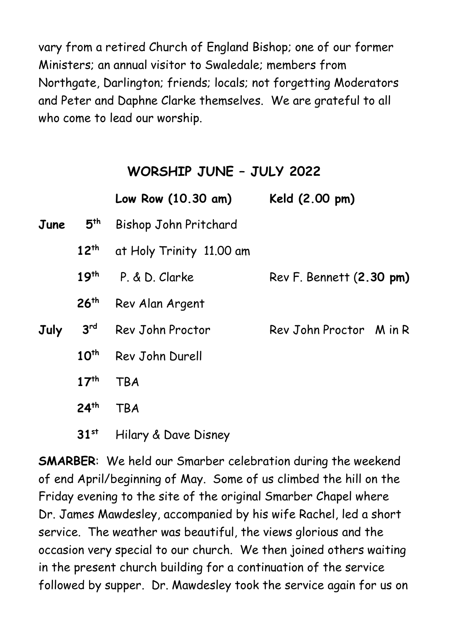vary from a retired Church of England Bishop; one of our former Ministers; an annual visitor to Swaledale; members from Northgate, Darlington; friends; locals; not forgetting Moderators and Peter and Daphne Clarke themselves. We are grateful to all who come to lead our worship.

## **WORSHIP JUNE – JULY 2022**

|      |                  | Low Row (10.30 am)       | Keld (2.00 pm)           |
|------|------------------|--------------------------|--------------------------|
| June | 5 <sup>th</sup>  | Bishop John Pritchard    |                          |
|      | $12^{th}$        | at Holy Trinity 11.00 am |                          |
|      | 19 <sup>th</sup> | P. & D. Clarke           | Rev F. Bennett (2.30 pm) |
|      | 26 <sup>th</sup> | Rev Alan Argent          |                          |
| July | 3 <sup>rd</sup>  | Rev John Proctor         | Rev John Proctor M in R  |
|      | 10 <sup>th</sup> | Rev John Durell          |                          |
|      | 17 <sup>th</sup> | <b>TBA</b>               |                          |
|      | 24 <sup>th</sup> | <b>TBA</b>               |                          |
|      | 31 <sup>st</sup> | Hilary & Dave Disney     |                          |

**SMARBER**: We held our Smarber celebration during the weekend of end April/beginning of May. Some of us climbed the hill on the Friday evening to the site of the original Smarber Chapel where Dr. James Mawdesley, accompanied by his wife Rachel, led a short service. The weather was beautiful, the views glorious and the occasion very special to our church. We then joined others waiting in the present church building for a continuation of the service followed by supper. Dr. Mawdesley took the service again for us on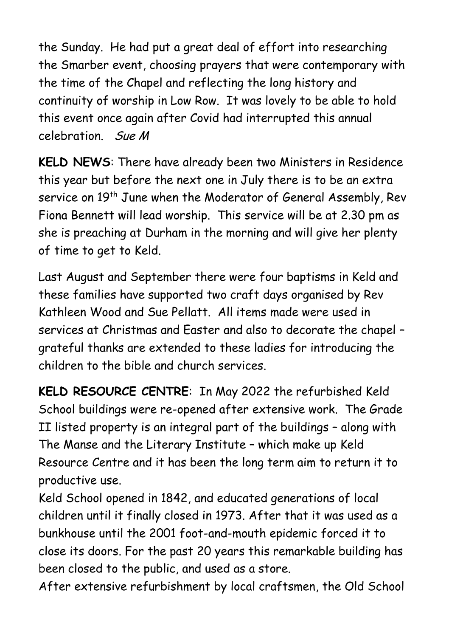the Sunday. He had put a great deal of effort into researching the Smarber event, choosing prayers that were contemporary with the time of the Chapel and reflecting the long history and continuity of worship in Low Row. It was lovely to be able to hold this event once again after Covid had interrupted this annual celebration. Sue M

**KELD NEWS**: There have already been two Ministers in Residence this year but before the next one in July there is to be an extra service on 19<sup>th</sup> June when the Moderator of General Assembly, Rev Fiona Bennett will lead worship. This service will be at 2.30 pm as she is preaching at Durham in the morning and will give her plenty of time to get to Keld.

Last August and September there were four baptisms in Keld and these families have supported two craft days organised by Rev Kathleen Wood and Sue Pellatt. All items made were used in services at Christmas and Easter and also to decorate the chapel – grateful thanks are extended to these ladies for introducing the children to the bible and church services.

**KELD RESOURCE CENTRE**: In May 2022 the refurbished Keld School buildings were re-opened after extensive work. The Grade II listed property is an integral part of the buildings – along with The Manse and the Literary Institute – which make up Keld Resource Centre and it has been the long term aim to return it to productive use.

Keld School opened in 1842, and educated generations of local children until it finally closed in 1973. After that it was used as a bunkhouse until the 2001 foot-and-mouth epidemic forced it to close its doors. For the past 20 years this remarkable building has been closed to the public, and used as a store.

After extensive refurbishment by local craftsmen, the Old School